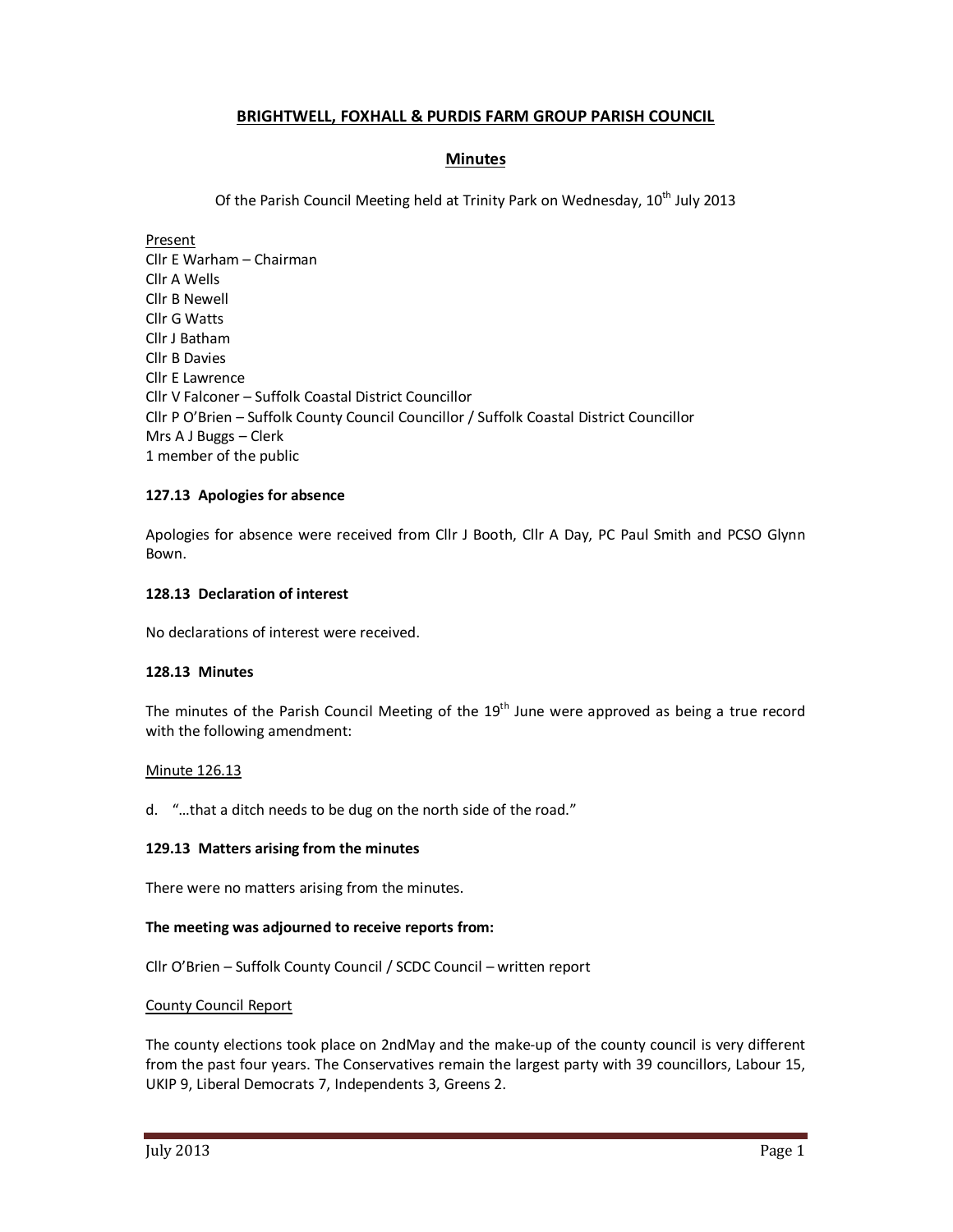# **BRIGHTWELL, FOXHALL & PURDIS FARM GROUP PARISH COUNCIL**

## **Minutes**

Of the Parish Council Meeting held at Trinity Park on Wednesday, 10<sup>th</sup> July 2013

Present Cllr E Warham – Chairman Cllr A Wells Cllr B Newell Cllr G Watts Cllr J Batham Cllr B Davies Cllr E Lawrence Cllr V Falconer – Suffolk Coastal District Councillor Cllr P O'Brien – Suffolk County Council Councillor / Suffolk Coastal District Councillor Mrs A J Buggs – Clerk 1 member of the public

### **127.13 Apologies for absence**

Apologies for absence were received from Cllr J Booth, Cllr A Day, PC Paul Smith and PCSO Glynn Bown.

### **128.13 Declaration of interest**

No declarations of interest were received.

### **128.13 Minutes**

The minutes of the Parish Council Meeting of the  $19<sup>th</sup>$  June were approved as being a true record with the following amendment:

### Minute 126.13

d. "…that a ditch needs to be dug on the north side of the road."

### **129.13 Matters arising from the minutes**

There were no matters arising from the minutes.

### **The meeting was adjourned to receive reports from:**

Cllr O'Brien – Suffolk County Council / SCDC Council – written report

### County Council Report

The county elections took place on 2ndMay and the make-up of the county council is very different from the past four years. The Conservatives remain the largest party with 39 councillors, Labour 15, UKIP 9, Liberal Democrats 7, Independents 3, Greens 2.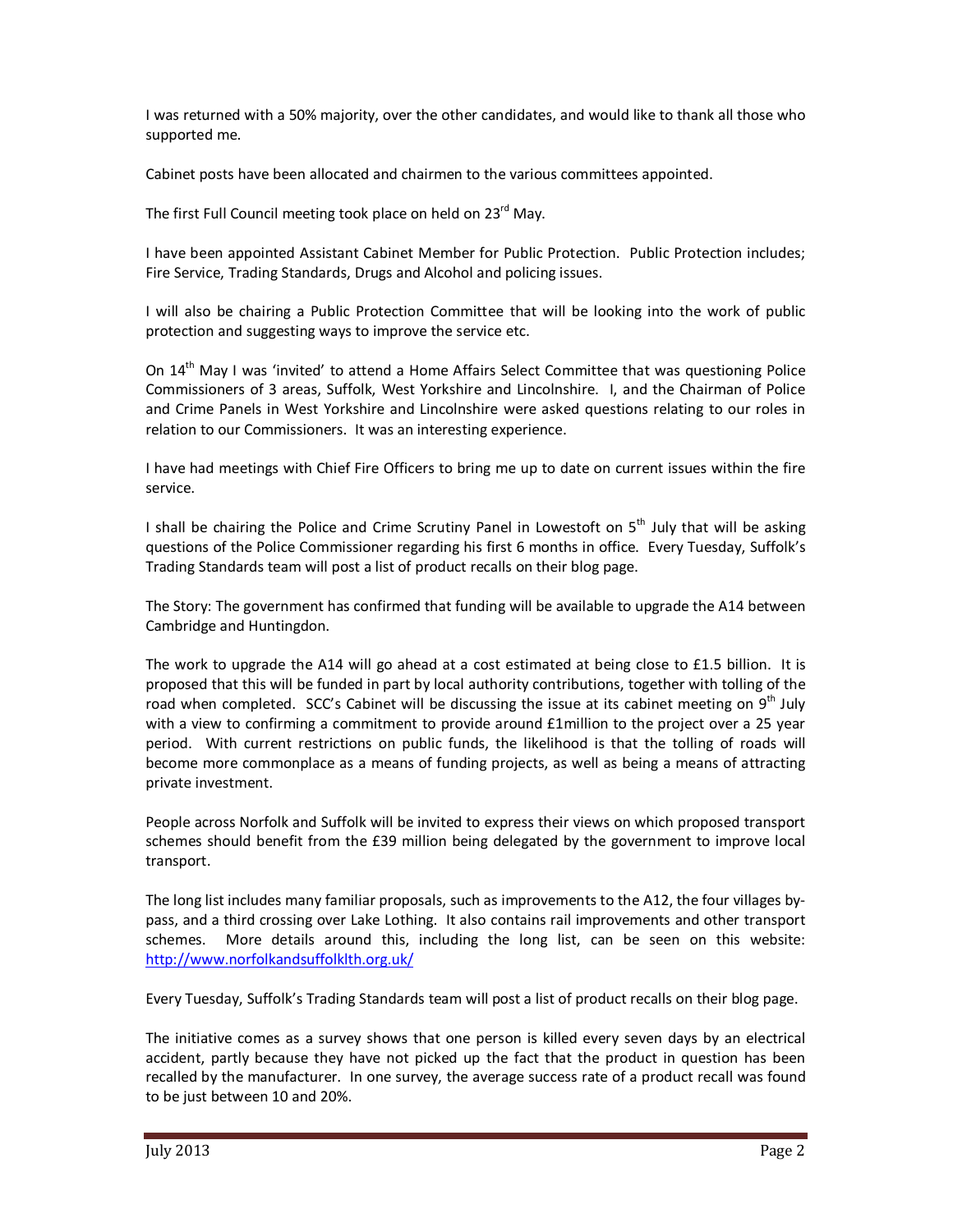I was returned with a 50% majority, over the other candidates, and would like to thank all those who supported me.

Cabinet posts have been allocated and chairmen to the various committees appointed.

The first Full Council meeting took place on held on 23<sup>rd</sup> May.

I have been appointed Assistant Cabinet Member for Public Protection. Public Protection includes; Fire Service, Trading Standards, Drugs and Alcohol and policing issues.

I will also be chairing a Public Protection Committee that will be looking into the work of public protection and suggesting ways to improve the service etc.

On 14<sup>th</sup> May I was 'invited' to attend a Home Affairs Select Committee that was questioning Police Commissioners of 3 areas, Suffolk, West Yorkshire and Lincolnshire. I, and the Chairman of Police and Crime Panels in West Yorkshire and Lincolnshire were asked questions relating to our roles in relation to our Commissioners. It was an interesting experience.

I have had meetings with Chief Fire Officers to bring me up to date on current issues within the fire service.

I shall be chairing the Police and Crime Scrutiny Panel in Lowestoft on  $5<sup>th</sup>$  July that will be asking questions of the Police Commissioner regarding his first 6 months in office. Every Tuesday, Suffolk's Trading Standards team will post a list of product recalls on their blog page.

The Story: The government has confirmed that funding will be available to upgrade the A14 between Cambridge and Huntingdon.

The work to upgrade the A14 will go ahead at a cost estimated at being close to £1.5 billion. It is proposed that this will be funded in part by local authority contributions, together with tolling of the road when completed. SCC's Cabinet will be discussing the issue at its cabinet meeting on  $9<sup>th</sup>$  July with a view to confirming a commitment to provide around £1million to the project over a 25 year period. With current restrictions on public funds, the likelihood is that the tolling of roads will become more commonplace as a means of funding projects, as well as being a means of attracting private investment.

People across Norfolk and Suffolk will be invited to express their views on which proposed transport schemes should benefit from the £39 million being delegated by the government to improve local transport.

The long list includes many familiar proposals, such as improvements to the A12, the four villages bypass, and a third crossing over Lake Lothing. It also contains rail improvements and other transport schemes. More details around this, including the long list, can be seen on this website: http://www.norfolkandsuffolklth.org.uk/

Every Tuesday, Suffolk's Trading Standards team will post a list of product recalls on their blog page.

The initiative comes as a survey shows that one person is killed every seven days by an electrical accident, partly because they have not picked up the fact that the product in question has been recalled by the manufacturer. In one survey, the average success rate of a product recall was found to be just between 10 and 20%.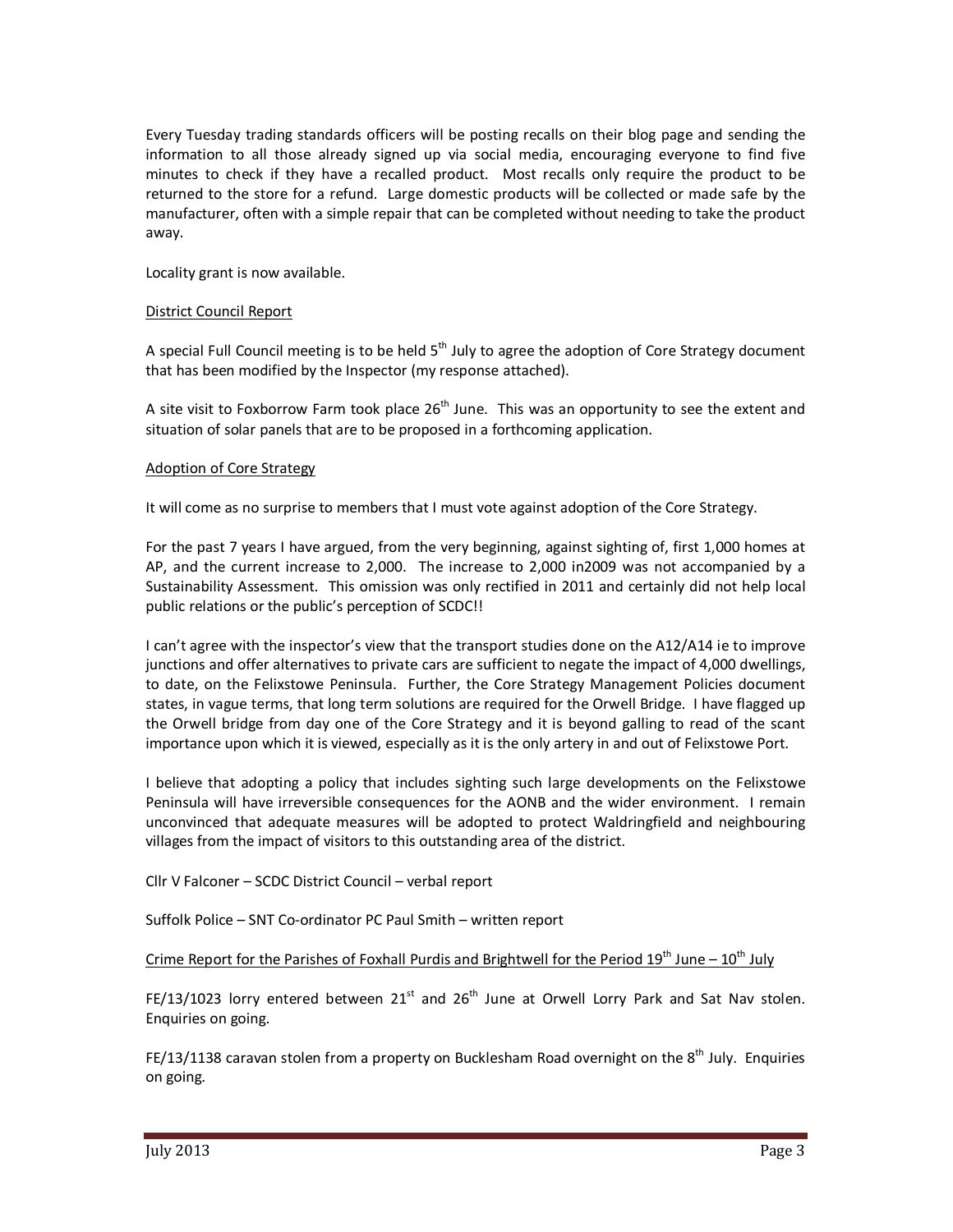Every Tuesday trading standards officers will be posting recalls on their blog page and sending the information to all those already signed up via social media, encouraging everyone to find five minutes to check if they have a recalled product. Most recalls only require the product to be returned to the store for a refund. Large domestic products will be collected or made safe by the manufacturer, often with a simple repair that can be completed without needing to take the product away.

Locality grant is now available.

### District Council Report

A special Full Council meeting is to be held  $5<sup>th</sup>$  July to agree the adoption of Core Strategy document that has been modified by the Inspector (my response attached).

A site visit to Foxborrow Farm took place  $26<sup>th</sup>$  June. This was an opportunity to see the extent and situation of solar panels that are to be proposed in a forthcoming application.

### Adoption of Core Strategy

It will come as no surprise to members that I must vote against adoption of the Core Strategy.

For the past 7 years I have argued, from the very beginning, against sighting of, first 1,000 homes at AP, and the current increase to 2,000. The increase to 2,000 in2009 was not accompanied by a Sustainability Assessment. This omission was only rectified in 2011 and certainly did not help local public relations or the public's perception of SCDC!!

I can't agree with the inspector's view that the transport studies done on the A12/A14 ie to improve junctions and offer alternatives to private cars are sufficient to negate the impact of 4,000 dwellings, to date, on the Felixstowe Peninsula. Further, the Core Strategy Management Policies document states, in vague terms, that long term solutions are required for the Orwell Bridge. I have flagged up the Orwell bridge from day one of the Core Strategy and it is beyond galling to read of the scant importance upon which it is viewed, especially as it is the only artery in and out of Felixstowe Port.

I believe that adopting a policy that includes sighting such large developments on the Felixstowe Peninsula will have irreversible consequences for the AONB and the wider environment. I remain unconvinced that adequate measures will be adopted to protect Waldringfield and neighbouring villages from the impact of visitors to this outstanding area of the district.

Cllr V Falconer – SCDC District Council – verbal report

Suffolk Police – SNT Co-ordinator PC Paul Smith – written report

Crime Report for the Parishes of Foxhall Purdis and Brightwell for the Period  $19<sup>th</sup>$  June –  $10<sup>th</sup>$  July

FE/13/1023 lorry entered between  $21^{st}$  and  $26^{th}$  June at Orwell Lorry Park and Sat Nav stolen. Enquiries on going.

FE/13/1138 caravan stolen from a property on Bucklesham Road overnight on the  $8<sup>th</sup>$  July. Enquiries on going.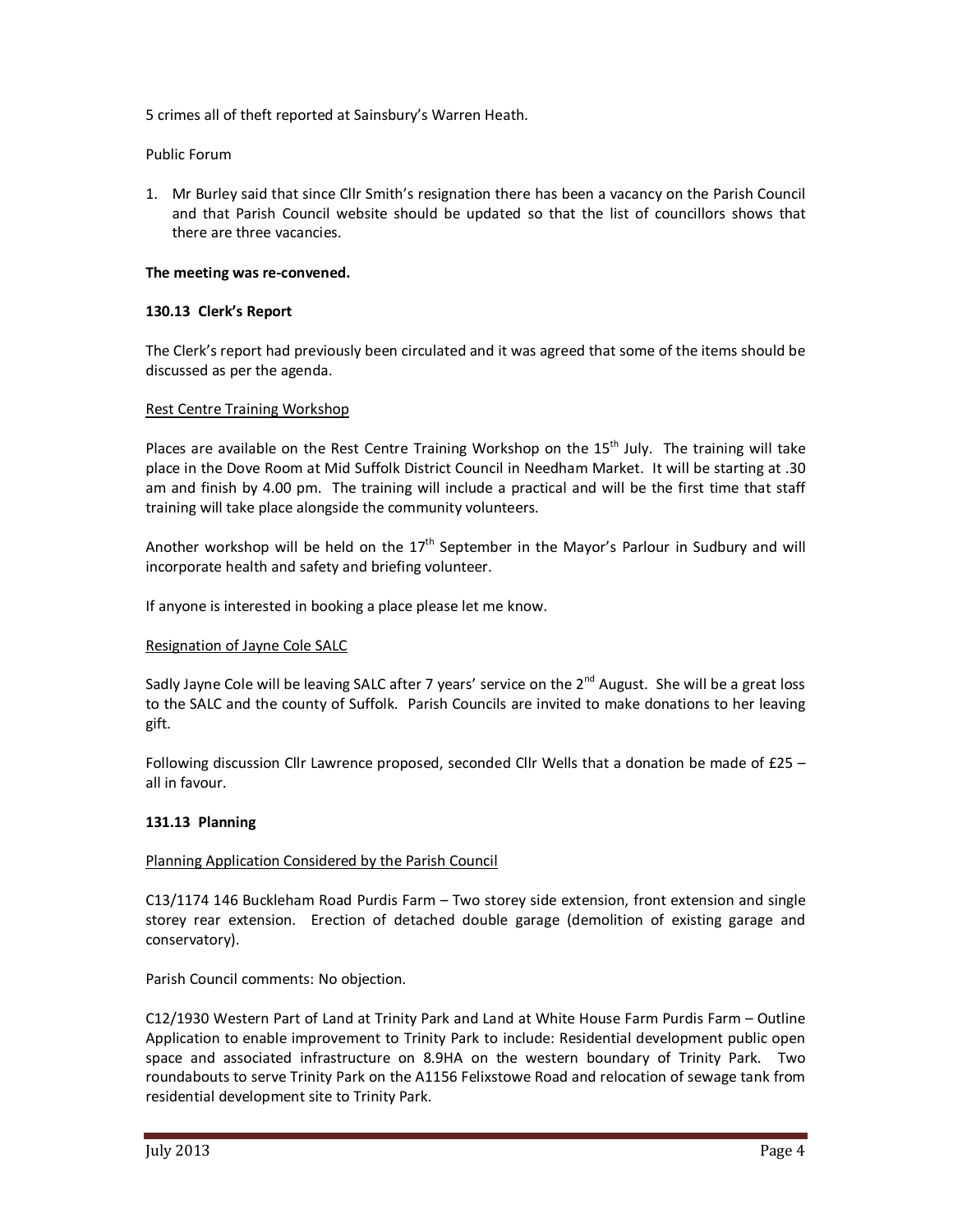5 crimes all of theft reported at Sainsbury's Warren Heath.

Public Forum

1. Mr Burley said that since Cllr Smith's resignation there has been a vacancy on the Parish Council and that Parish Council website should be updated so that the list of councillors shows that there are three vacancies.

### **The meeting was re-convened.**

### **130.13 Clerk's Report**

The Clerk's report had previously been circulated and it was agreed that some of the items should be discussed as per the agenda.

### Rest Centre Training Workshop

Places are available on the Rest Centre Training Workshop on the 15<sup>th</sup> July. The training will take place in the Dove Room at Mid Suffolk District Council in Needham Market. It will be starting at .30 am and finish by 4.00 pm. The training will include a practical and will be the first time that staff training will take place alongside the community volunteers.

Another workshop will be held on the  $17<sup>th</sup>$  September in the Mayor's Parlour in Sudbury and will incorporate health and safety and briefing volunteer.

If anyone is interested in booking a place please let me know.

### Resignation of Jayne Cole SALC

Sadly Jayne Cole will be leaving SALC after 7 years' service on the 2<sup>nd</sup> August. She will be a great loss to the SALC and the county of Suffolk. Parish Councils are invited to make donations to her leaving gift.

Following discussion Cllr Lawrence proposed, seconded Cllr Wells that a donation be made of £25 – all in favour.

## **131.13 Planning**

### Planning Application Considered by the Parish Council

C13/1174 146 Buckleham Road Purdis Farm – Two storey side extension, front extension and single storey rear extension. Erection of detached double garage (demolition of existing garage and conservatory).

Parish Council comments: No objection.

C12/1930 Western Part of Land at Trinity Park and Land at White House Farm Purdis Farm – Outline Application to enable improvement to Trinity Park to include: Residential development public open space and associated infrastructure on 8.9HA on the western boundary of Trinity Park. Two roundabouts to serve Trinity Park on the A1156 Felixstowe Road and relocation of sewage tank from residential development site to Trinity Park.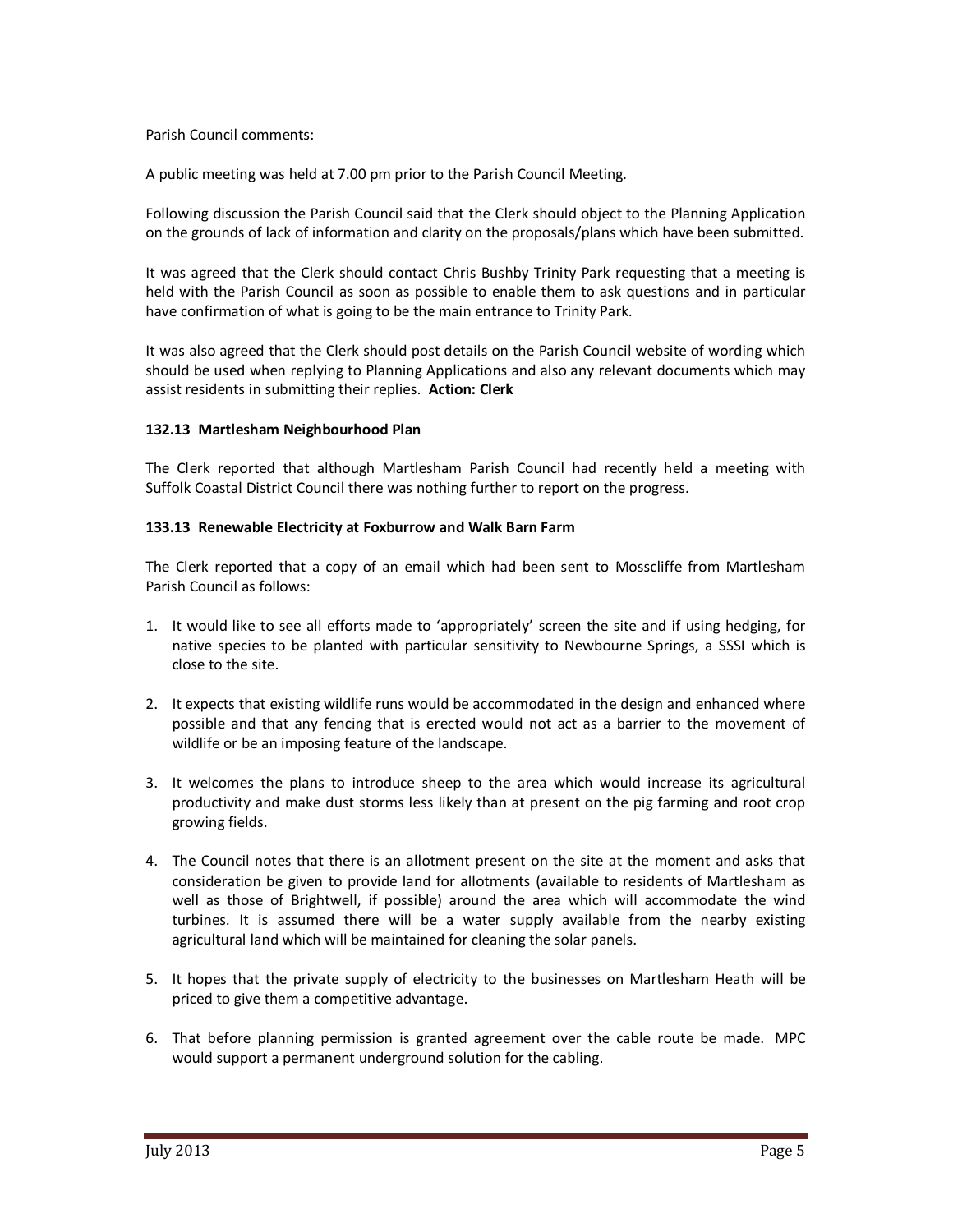### Parish Council comments:

A public meeting was held at 7.00 pm prior to the Parish Council Meeting.

Following discussion the Parish Council said that the Clerk should object to the Planning Application on the grounds of lack of information and clarity on the proposals/plans which have been submitted.

It was agreed that the Clerk should contact Chris Bushby Trinity Park requesting that a meeting is held with the Parish Council as soon as possible to enable them to ask questions and in particular have confirmation of what is going to be the main entrance to Trinity Park.

It was also agreed that the Clerk should post details on the Parish Council website of wording which should be used when replying to Planning Applications and also any relevant documents which may assist residents in submitting their replies. **Action: Clerk** 

### **132.13 Martlesham Neighbourhood Plan**

The Clerk reported that although Martlesham Parish Council had recently held a meeting with Suffolk Coastal District Council there was nothing further to report on the progress.

### **133.13 Renewable Electricity at Foxburrow and Walk Barn Farm**

The Clerk reported that a copy of an email which had been sent to Mosscliffe from Martlesham Parish Council as follows:

- 1. It would like to see all efforts made to 'appropriately' screen the site and if using hedging, for native species to be planted with particular sensitivity to Newbourne Springs, a SSSI which is close to the site.
- 2. It expects that existing wildlife runs would be accommodated in the design and enhanced where possible and that any fencing that is erected would not act as a barrier to the movement of wildlife or be an imposing feature of the landscape.
- 3. It welcomes the plans to introduce sheep to the area which would increase its agricultural productivity and make dust storms less likely than at present on the pig farming and root crop growing fields.
- 4. The Council notes that there is an allotment present on the site at the moment and asks that consideration be given to provide land for allotments (available to residents of Martlesham as well as those of Brightwell, if possible) around the area which will accommodate the wind turbines. It is assumed there will be a water supply available from the nearby existing agricultural land which will be maintained for cleaning the solar panels.
- 5. It hopes that the private supply of electricity to the businesses on Martlesham Heath will be priced to give them a competitive advantage.
- 6. That before planning permission is granted agreement over the cable route be made. MPC would support a permanent underground solution for the cabling.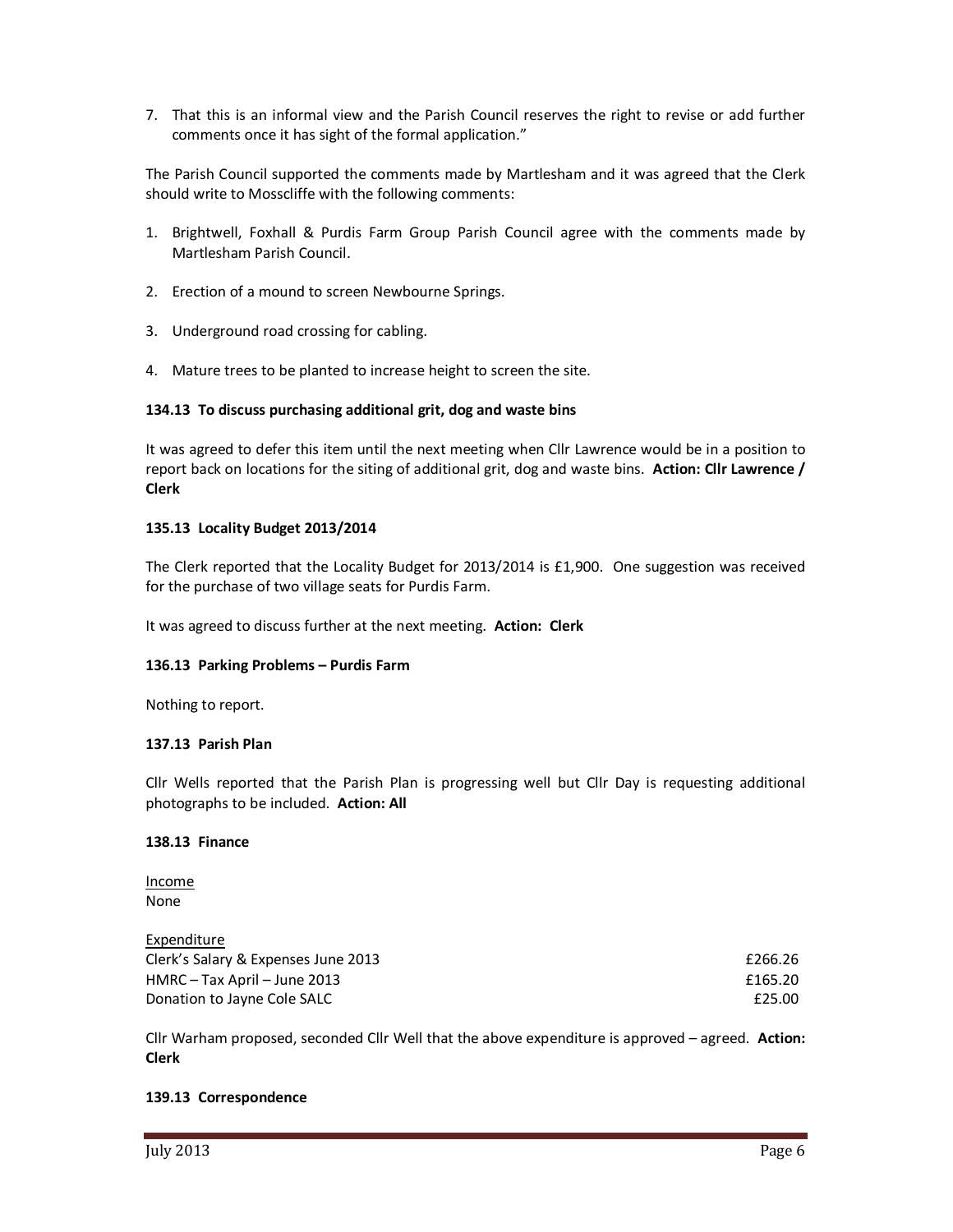7. That this is an informal view and the Parish Council reserves the right to revise or add further comments once it has sight of the formal application."

The Parish Council supported the comments made by Martlesham and it was agreed that the Clerk should write to Mosscliffe with the following comments:

- 1. Brightwell, Foxhall & Purdis Farm Group Parish Council agree with the comments made by Martlesham Parish Council.
- 2. Erection of a mound to screen Newbourne Springs.
- 3. Underground road crossing for cabling.
- 4. Mature trees to be planted to increase height to screen the site.

### **134.13 To discuss purchasing additional grit, dog and waste bins**

It was agreed to defer this item until the next meeting when Cllr Lawrence would be in a position to report back on locations for the siting of additional grit, dog and waste bins. **Action: Cllr Lawrence / Clerk** 

### **135.13 Locality Budget 2013/2014**

The Clerk reported that the Locality Budget for 2013/2014 is £1,900. One suggestion was received for the purchase of two village seats for Purdis Farm.

It was agreed to discuss further at the next meeting. **Action: Clerk** 

### **136.13 Parking Problems – Purdis Farm**

Nothing to report.

### **137.13 Parish Plan**

Cllr Wells reported that the Parish Plan is progressing well but Cllr Day is requesting additional photographs to be included. **Action: All** 

### **138.13 Finance**

Income None

Expenditure Clerk's Salary & Expenses June 2013 **Example 2013 Example 2013 E266.26** 

HMRC – Tax April – June 2013 **E165.20** Donation to Jayne Cole SALC **E25.00** 

Cllr Warham proposed, seconded Cllr Well that the above expenditure is approved – agreed. **Action: Clerk** 

### **139.13 Correspondence**